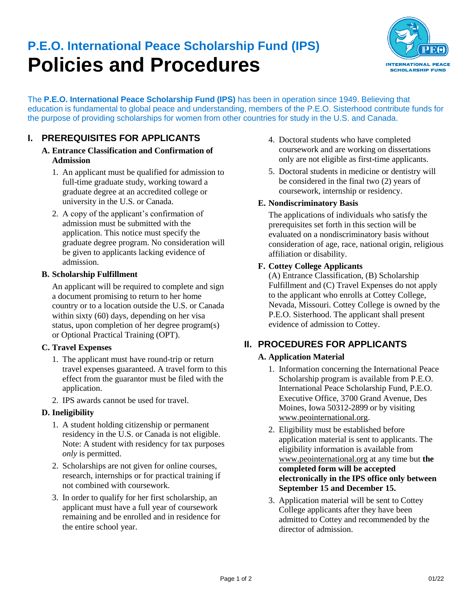# **P.E.O. International Peace Scholarship Fund (IPS) Policies and Procedures**



The **P.E.O. International Peace Scholarship Fund (IPS)** has been in operation since 1949. Believing that education is fundamental to global peace and understanding, members of the P.E.O. Sisterhood contribute funds for the purpose of providing scholarships for women from other countries for study in the U.S. and Canada.

## **I. PREREQUISITES FOR APPLICANTS**

- **A. Entrance Classification and Confirmation of Admission**
	- 1. An applicant must be qualified for admission to full-time graduate study, working toward a graduate degree at an accredited college or university in the U.S. or Canada.
	- 2. A copy of the applicant's confirmation of admission must be submitted with the application. This notice must specify the graduate degree program. No consideration will be given to applicants lacking evidence of admission.

## **B. Scholarship Fulfillment**

An applicant will be required to complete and sign a document promising to return to her home country or to a location outside the U.S. or Canada within sixty (60) days, depending on her visa status, upon completion of her degree program(s) or Optional Practical Training (OPT).

## **C. Travel Expenses**

- 1. The applicant must have round-trip or return travel expenses guaranteed. A travel form to this effect from the guarantor must be filed with the application.
- 2. IPS awards cannot be used for travel.

## **D. Ineligibility**

- 1. A student holding citizenship or permanent residency in the U.S. or Canada is not eligible. Note: A student with residency for tax purposes *only* is permitted.
- 2. Scholarships are not given for online courses, research, internships or for practical training if not combined with coursework.
- 3. In order to qualify for her first scholarship, an applicant must have a full year of coursework remaining and be enrolled and in residence for the entire school year.
- 4. Doctoral students who have completed coursework and are working on dissertations only are not eligible as first-time applicants.
- 5. Doctoral students in medicine or dentistry will be considered in the final two (2) years of coursework, internship or residency.

## **E. Nondiscriminatory Basis**

The applications of individuals who satisfy the prerequisites set forth in this section will be evaluated on a nondiscriminatory basis without consideration of age, race, national origin, religious affiliation or disability.

## **F. Cottey College Applicants**

(A) Entrance Classification, (B) Scholarship Fulfillment and (C) Travel Expenses do not apply to the applicant who enrolls at Cottey College, Nevada, Missouri. Cottey College is owned by the P.E.O. Sisterhood. The applicant shall present evidence of admission to Cottey.

# **II. PROCEDURES FOR APPLICANTS**

## **A. Application Material**

- 1. Information concerning the International Peace Scholarship program is available from P.E.O. International Peace Scholarship Fund, P.E.O. Executive Office, 3700 Grand Avenue, Des Moines, Iowa 50312-2899 or by visiting [www.peointernational.org.](https://www.peointernational.org/about-peo-international-peace-scholarship-ips)
- 2. Eligibility must be established before application material is sent to applicants. The eligibility information is available from [www.peointernational.org](https://www.peointernational.org/ips-eligibility-requirements) at any time but **the completed form will be accepted electronically in the IPS office only between September 15 and December 15.**
- 3. Application material will be sent to Cottey College applicants after they have been admitted to Cottey and recommended by the director of admission.